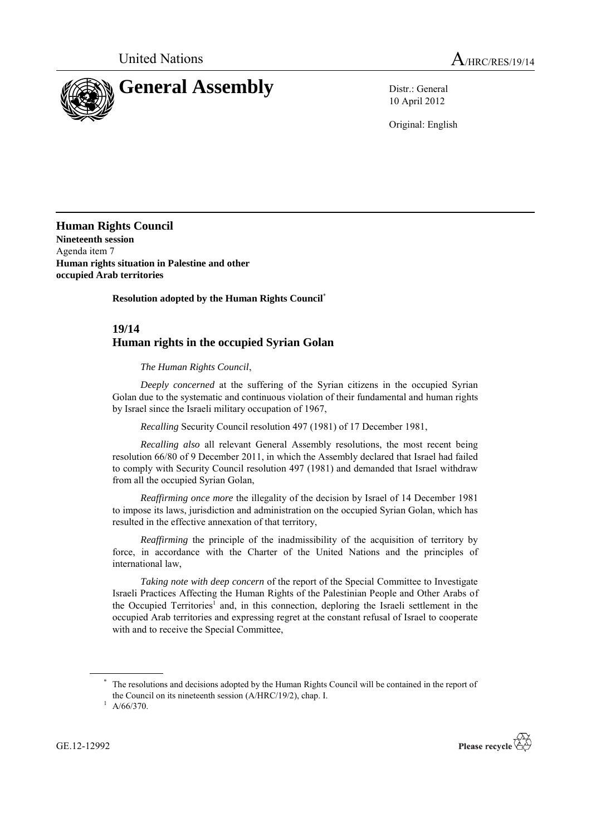

10 April 2012

Original: English

**Human Rights Council Nineteenth session** Agenda item 7 **Human rights situation in Palestine and other occupied Arab territories**

**Resolution adopted by the Human Rights Council**\*

## **19/14 Human rights in the occupied Syrian Golan**

*The Human Rights Council*,

*Deeply concerned* at the suffering of the Syrian citizens in the occupied Syrian Golan due to the systematic and continuous violation of their fundamental and human rights by Israel since the Israeli military occupation of 1967,

*Recalling* Security Council resolution 497 (1981) of 17 December 1981,

*Recalling also* all relevant General Assembly resolutions, the most recent being resolution 66/80 of 9 December 2011, in which the Assembly declared that Israel had failed to comply with Security Council resolution 497 (1981) and demanded that Israel withdraw from all the occupied Syrian Golan,

*Reaffirming once more* the illegality of the decision by Israel of 14 December 1981 to impose its laws, jurisdiction and administration on the occupied Syrian Golan, which has resulted in the effective annexation of that territory,

*Reaffirming* the principle of the inadmissibility of the acquisition of territory by force, in accordance with the Charter of the United Nations and the principles of international law,

*Taking note with deep concern* of the report of the Special Committee to Investigate Israeli Practices Affecting the Human Rights of the Palestinian People and Other Arabs of the Occupied Territories<sup>1</sup> and, in this connection, deploring the Israeli settlement in the occupied Arab territories and expressing regret at the constant refusal of Israel to cooperate with and to receive the Special Committee,

The resolutions and decisions adopted by the Human Rights Council will be contained in the report of the Council on its nineteenth session (A/HRC/19/2), chap. I.



 $1$  A/66/370.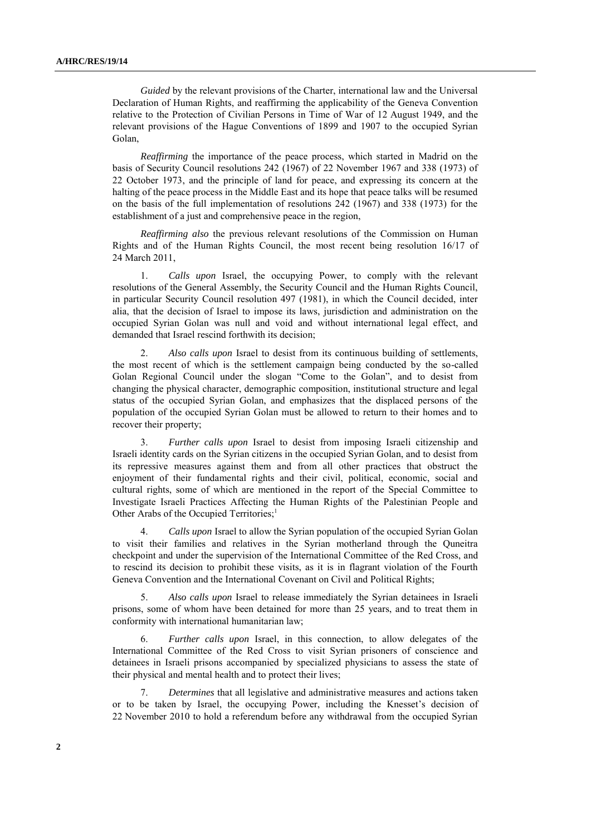*Guided* by the relevant provisions of the Charter, international law and the Universal Declaration of Human Rights, and reaffirming the applicability of the Geneva Convention relative to the Protection of Civilian Persons in Time of War of 12 August 1949, and the relevant provisions of the Hague Conventions of 1899 and 1907 to the occupied Syrian Golan,

*Reaffirming* the importance of the peace process, which started in Madrid on the basis of Security Council resolutions 242 (1967) of 22 November 1967 and 338 (1973) of 22 October 1973, and the principle of land for peace, and expressing its concern at the halting of the peace process in the Middle East and its hope that peace talks will be resumed on the basis of the full implementation of resolutions 242 (1967) and 338 (1973) for the establishment of a just and comprehensive peace in the region,

*Reaffirming also* the previous relevant resolutions of the Commission on Human Rights and of the Human Rights Council, the most recent being resolution 16/17 of 24 March 2011,

1. *Calls upon* Israel, the occupying Power, to comply with the relevant resolutions of the General Assembly, the Security Council and the Human Rights Council, in particular Security Council resolution 497 (1981), in which the Council decided, inter alia, that the decision of Israel to impose its laws, jurisdiction and administration on the occupied Syrian Golan was null and void and without international legal effect, and demanded that Israel rescind forthwith its decision;

2. *Also calls upon* Israel to desist from its continuous building of settlements, the most recent of which is the settlement campaign being conducted by the so-called Golan Regional Council under the slogan "Come to the Golan", and to desist from changing the physical character, demographic composition, institutional structure and legal status of the occupied Syrian Golan, and emphasizes that the displaced persons of the population of the occupied Syrian Golan must be allowed to return to their homes and to recover their property;

3. *Further calls upon* Israel to desist from imposing Israeli citizenship and Israeli identity cards on the Syrian citizens in the occupied Syrian Golan, and to desist from its repressive measures against them and from all other practices that obstruct the enjoyment of their fundamental rights and their civil, political, economic, social and cultural rights, some of which are mentioned in the report of the Special Committee to Investigate Israeli Practices Affecting the Human Rights of the Palestinian People and Other Arabs of the Occupied Territories;<sup>1</sup>

4. *Calls upon* Israel to allow the Syrian population of the occupied Syrian Golan to visit their families and relatives in the Syrian motherland through the Quneitra checkpoint and under the supervision of the International Committee of the Red Cross, and to rescind its decision to prohibit these visits, as it is in flagrant violation of the Fourth Geneva Convention and the International Covenant on Civil and Political Rights;

5. *Also calls upon* Israel to release immediately the Syrian detainees in Israeli prisons, some of whom have been detained for more than 25 years, and to treat them in conformity with international humanitarian law;

6. *Further calls upon* Israel, in this connection, to allow delegates of the International Committee of the Red Cross to visit Syrian prisoners of conscience and detainees in Israeli prisons accompanied by specialized physicians to assess the state of their physical and mental health and to protect their lives;

7. *Determines* that all legislative and administrative measures and actions taken or to be taken by Israel, the occupying Power, including the Knesset's decision of 22 November 2010 to hold a referendum before any withdrawal from the occupied Syrian